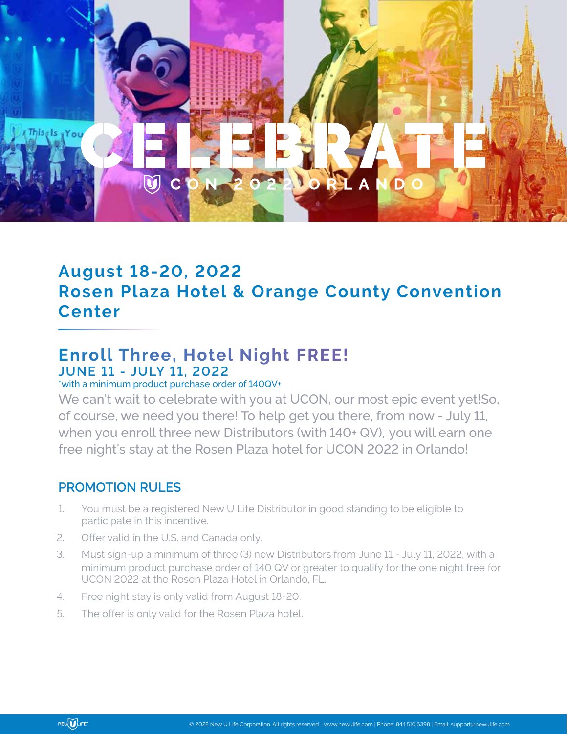

## **August 18-20, 2022 Rosen Plaza Hotel & Orange County Convention Center**

## **Enroll Three, Hotel Night FREE! JUNE 11 - JULY 11, 2022**

## \*with a minimum product purchase order of 140QV+

We can't wait to celebrate with you at UCON, our most epic event yet!So, of course, we need you there! To help get you there, from now - July 11, when you enroll three new Distributors (with 140+ QV), you will earn one free night's stay at the Rosen Plaza hotel for UCON 2022 in Orlando!

## **PROMOTION RULES**

- 1. You must be a registered New U Life Distributor in good standing to be eligible to participate in this incentive.
- 2. Offer valid in the U.S. and Canada only.
- 3. Must sign-up a minimum of three (3) new Distributors from June 11 July 11, 2022, with a minimum product purchase order of 140 QV or greater to qualify for the one night free for UCON 2022 at the Rosen Plaza Hotel in Orlando, FL.
- 4. Free night stay is only valid from August 18-20.
- 5. The offer is only valid for the Rosen Plaza hotel.